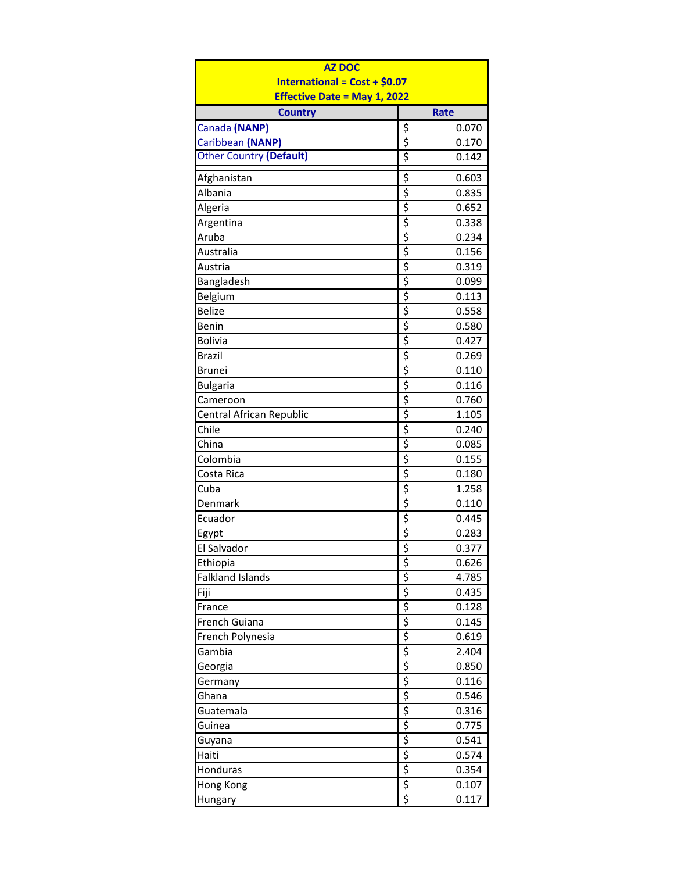| <b>AZ DOC</b>                        |             |             |  |  |  |
|--------------------------------------|-------------|-------------|--|--|--|
| <b>International = Cost + \$0.07</b> |             |             |  |  |  |
| <b>Effective Date = May 1, 2022</b>  |             |             |  |  |  |
| <b>Country</b>                       |             | <b>Rate</b> |  |  |  |
| Canada (NANP)                        | \$          | 0.070       |  |  |  |
| Caribbean (NANP)                     | \$          | 0.170       |  |  |  |
| <b>Other Country (Default)</b>       | \$          | 0.142       |  |  |  |
| Afghanistan                          | \$          | 0.603       |  |  |  |
| Albania                              | \$          | 0.835       |  |  |  |
| Algeria                              | \$          | 0.652       |  |  |  |
| Argentina                            | \$          | 0.338       |  |  |  |
| Aruba                                | \$          | 0.234       |  |  |  |
| Australia                            | \$          | 0.156       |  |  |  |
| Austria                              | \$          | 0.319       |  |  |  |
| Bangladesh                           | \$          | 0.099       |  |  |  |
| Belgium                              |             | 0.113       |  |  |  |
| <b>Belize</b>                        | $rac{5}{5}$ | 0.558       |  |  |  |
| Benin                                |             | 0.580       |  |  |  |
| <b>Bolivia</b>                       |             | 0.427       |  |  |  |
| <b>Brazil</b>                        |             | 0.269       |  |  |  |
| <b>Brunei</b>                        |             | 0.110       |  |  |  |
|                                      |             |             |  |  |  |
| <b>Bulgaria</b>                      |             | 0.116       |  |  |  |
| Cameroon                             |             | 0.760       |  |  |  |
| Central African Republic             |             | 1.105       |  |  |  |
| Chile                                |             | 0.240       |  |  |  |
| China                                |             | 0.085       |  |  |  |
| Colombia                             |             | 0.155       |  |  |  |
| Costa Rica                           |             | 0.180       |  |  |  |
| Cuba                                 |             | 1.258       |  |  |  |
| Denmark                              |             | 0.110       |  |  |  |
| Ecuador                              | $rac{5}{5}$ | 0.445       |  |  |  |
| Egypt                                |             | 0.283       |  |  |  |
| <b>Fl Salvador</b>                   |             | 0.377       |  |  |  |
| Ethiopia                             | \$          | 0.626       |  |  |  |
| <b>Falkland Islands</b>              |             | 4.785       |  |  |  |
| Fiji                                 |             | 0.435       |  |  |  |
| France                               |             | 0.128       |  |  |  |
| French Guiana                        |             | 0.145       |  |  |  |
| French Polynesia                     |             | 0.619       |  |  |  |
| Gambia                               |             | 2.404       |  |  |  |
| Georgia                              |             | 0.850       |  |  |  |
| Germany                              |             | 0.116       |  |  |  |
| Ghana                                |             | 0.546       |  |  |  |
| Guatemala                            |             | 0.316       |  |  |  |
| Guinea                               |             | 0.775       |  |  |  |
| Guyana                               |             | 0.541       |  |  |  |
| Haiti                                |             | 0.574       |  |  |  |
| Honduras                             |             | 0.354       |  |  |  |
| Hong Kong                            |             | 0.107       |  |  |  |
| Hungary                              |             | 0.117       |  |  |  |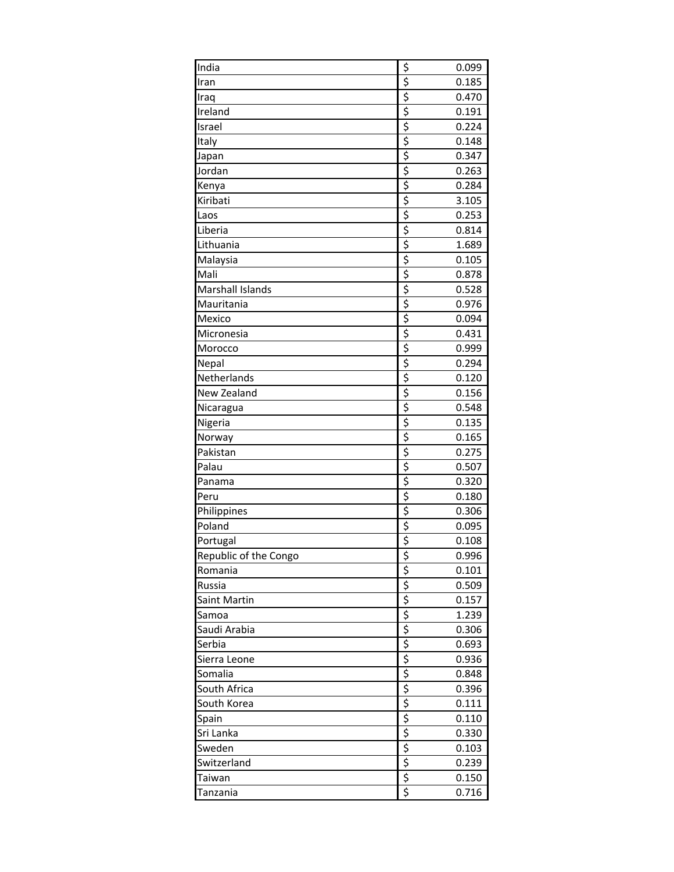| $\frac{1}{2}$ $\frac{1}{2}$ $\frac{1}{2}$ $\frac{1}{2}$ $\frac{1}{2}$ $\frac{1}{2}$<br>0.185<br>Iran<br>0.470<br>Iraq<br>Ireland<br>0.191<br>Israel<br>0.224<br>Italy<br>0.148<br>0.347<br>Japan<br>$rac{5}{5}$<br>Jordan<br>0.263<br>0.284<br>Kenya<br>Kiribati<br>3.105<br>\$<br>0.253<br>Laos<br>$rac{5}{2}$<br>Liberia<br>0.814<br>Lithuania<br>1.689<br>$\overline{\xi}$<br>Malaysia<br>0.105<br>\$<br>0.878<br>Mali<br>\$<br>Marshall Islands<br>0.528<br>\$<br>Mauritania<br>0.976<br>$rac{5}{5}$<br>Mexico<br>0.094<br>0.431<br>Micronesia<br>$rac{5}{5}$<br>0.999<br>Morocco<br>0.294<br>Nepal<br>$rac{5}{5}$<br>Netherlands<br>0.120<br>New Zealand<br>0.156<br>\$<br>0.548<br>Nicaragua<br>$\frac{1}{5}$<br>0.135<br>Nigeria<br>$\frac{1}{2}$ is a set $\frac{1}{2}$ is a set $\frac{1}{2}$<br>0.165<br>Norway<br>0.275<br>Pakistan<br>0.507<br>Palau<br>0.320<br>Panama<br>Peru<br>0.180<br>Philippines<br>0.306<br>Poland<br>0.095<br>$\overline{\boldsymbol{\zeta}}$<br>Portugal<br>0.108<br>Republic of the Congo<br><u>s s s s s s s s s s s s s s s s s s s</u><br>0.996<br>Romania<br>0.101<br>0.509<br>Russia<br>Saint Martin<br>0.157<br>1.239<br>Samoa<br>Saudi Arabia<br>0.306<br>0.693<br>Serbia<br>Sierra Leone<br>0.936<br>Somalia<br>0.848<br>South Africa<br>0.396<br>South Korea<br>0.111<br>0.110<br>Spain<br>Sri Lanka<br>0.330<br>Sweden<br>0.103<br>Switzerland<br>0.239<br>0.150<br>Taiwan | India    | 0.099 |
|-----------------------------------------------------------------------------------------------------------------------------------------------------------------------------------------------------------------------------------------------------------------------------------------------------------------------------------------------------------------------------------------------------------------------------------------------------------------------------------------------------------------------------------------------------------------------------------------------------------------------------------------------------------------------------------------------------------------------------------------------------------------------------------------------------------------------------------------------------------------------------------------------------------------------------------------------------------------------------------------------------------------------------------------------------------------------------------------------------------------------------------------------------------------------------------------------------------------------------------------------------------------------------------------------------------------------------------------------------------------------------------------------------------------------------|----------|-------|
|                                                                                                                                                                                                                                                                                                                                                                                                                                                                                                                                                                                                                                                                                                                                                                                                                                                                                                                                                                                                                                                                                                                                                                                                                                                                                                                                                                                                                             |          |       |
|                                                                                                                                                                                                                                                                                                                                                                                                                                                                                                                                                                                                                                                                                                                                                                                                                                                                                                                                                                                                                                                                                                                                                                                                                                                                                                                                                                                                                             |          |       |
|                                                                                                                                                                                                                                                                                                                                                                                                                                                                                                                                                                                                                                                                                                                                                                                                                                                                                                                                                                                                                                                                                                                                                                                                                                                                                                                                                                                                                             |          |       |
|                                                                                                                                                                                                                                                                                                                                                                                                                                                                                                                                                                                                                                                                                                                                                                                                                                                                                                                                                                                                                                                                                                                                                                                                                                                                                                                                                                                                                             |          |       |
|                                                                                                                                                                                                                                                                                                                                                                                                                                                                                                                                                                                                                                                                                                                                                                                                                                                                                                                                                                                                                                                                                                                                                                                                                                                                                                                                                                                                                             |          |       |
|                                                                                                                                                                                                                                                                                                                                                                                                                                                                                                                                                                                                                                                                                                                                                                                                                                                                                                                                                                                                                                                                                                                                                                                                                                                                                                                                                                                                                             |          |       |
|                                                                                                                                                                                                                                                                                                                                                                                                                                                                                                                                                                                                                                                                                                                                                                                                                                                                                                                                                                                                                                                                                                                                                                                                                                                                                                                                                                                                                             |          |       |
|                                                                                                                                                                                                                                                                                                                                                                                                                                                                                                                                                                                                                                                                                                                                                                                                                                                                                                                                                                                                                                                                                                                                                                                                                                                                                                                                                                                                                             |          |       |
|                                                                                                                                                                                                                                                                                                                                                                                                                                                                                                                                                                                                                                                                                                                                                                                                                                                                                                                                                                                                                                                                                                                                                                                                                                                                                                                                                                                                                             |          |       |
|                                                                                                                                                                                                                                                                                                                                                                                                                                                                                                                                                                                                                                                                                                                                                                                                                                                                                                                                                                                                                                                                                                                                                                                                                                                                                                                                                                                                                             |          |       |
|                                                                                                                                                                                                                                                                                                                                                                                                                                                                                                                                                                                                                                                                                                                                                                                                                                                                                                                                                                                                                                                                                                                                                                                                                                                                                                                                                                                                                             |          |       |
|                                                                                                                                                                                                                                                                                                                                                                                                                                                                                                                                                                                                                                                                                                                                                                                                                                                                                                                                                                                                                                                                                                                                                                                                                                                                                                                                                                                                                             |          |       |
|                                                                                                                                                                                                                                                                                                                                                                                                                                                                                                                                                                                                                                                                                                                                                                                                                                                                                                                                                                                                                                                                                                                                                                                                                                                                                                                                                                                                                             |          |       |
|                                                                                                                                                                                                                                                                                                                                                                                                                                                                                                                                                                                                                                                                                                                                                                                                                                                                                                                                                                                                                                                                                                                                                                                                                                                                                                                                                                                                                             |          |       |
|                                                                                                                                                                                                                                                                                                                                                                                                                                                                                                                                                                                                                                                                                                                                                                                                                                                                                                                                                                                                                                                                                                                                                                                                                                                                                                                                                                                                                             |          |       |
|                                                                                                                                                                                                                                                                                                                                                                                                                                                                                                                                                                                                                                                                                                                                                                                                                                                                                                                                                                                                                                                                                                                                                                                                                                                                                                                                                                                                                             |          |       |
|                                                                                                                                                                                                                                                                                                                                                                                                                                                                                                                                                                                                                                                                                                                                                                                                                                                                                                                                                                                                                                                                                                                                                                                                                                                                                                                                                                                                                             |          |       |
|                                                                                                                                                                                                                                                                                                                                                                                                                                                                                                                                                                                                                                                                                                                                                                                                                                                                                                                                                                                                                                                                                                                                                                                                                                                                                                                                                                                                                             |          |       |
|                                                                                                                                                                                                                                                                                                                                                                                                                                                                                                                                                                                                                                                                                                                                                                                                                                                                                                                                                                                                                                                                                                                                                                                                                                                                                                                                                                                                                             |          |       |
|                                                                                                                                                                                                                                                                                                                                                                                                                                                                                                                                                                                                                                                                                                                                                                                                                                                                                                                                                                                                                                                                                                                                                                                                                                                                                                                                                                                                                             |          |       |
|                                                                                                                                                                                                                                                                                                                                                                                                                                                                                                                                                                                                                                                                                                                                                                                                                                                                                                                                                                                                                                                                                                                                                                                                                                                                                                                                                                                                                             |          |       |
|                                                                                                                                                                                                                                                                                                                                                                                                                                                                                                                                                                                                                                                                                                                                                                                                                                                                                                                                                                                                                                                                                                                                                                                                                                                                                                                                                                                                                             |          |       |
|                                                                                                                                                                                                                                                                                                                                                                                                                                                                                                                                                                                                                                                                                                                                                                                                                                                                                                                                                                                                                                                                                                                                                                                                                                                                                                                                                                                                                             |          |       |
|                                                                                                                                                                                                                                                                                                                                                                                                                                                                                                                                                                                                                                                                                                                                                                                                                                                                                                                                                                                                                                                                                                                                                                                                                                                                                                                                                                                                                             |          |       |
|                                                                                                                                                                                                                                                                                                                                                                                                                                                                                                                                                                                                                                                                                                                                                                                                                                                                                                                                                                                                                                                                                                                                                                                                                                                                                                                                                                                                                             |          |       |
|                                                                                                                                                                                                                                                                                                                                                                                                                                                                                                                                                                                                                                                                                                                                                                                                                                                                                                                                                                                                                                                                                                                                                                                                                                                                                                                                                                                                                             |          |       |
|                                                                                                                                                                                                                                                                                                                                                                                                                                                                                                                                                                                                                                                                                                                                                                                                                                                                                                                                                                                                                                                                                                                                                                                                                                                                                                                                                                                                                             |          |       |
|                                                                                                                                                                                                                                                                                                                                                                                                                                                                                                                                                                                                                                                                                                                                                                                                                                                                                                                                                                                                                                                                                                                                                                                                                                                                                                                                                                                                                             |          |       |
|                                                                                                                                                                                                                                                                                                                                                                                                                                                                                                                                                                                                                                                                                                                                                                                                                                                                                                                                                                                                                                                                                                                                                                                                                                                                                                                                                                                                                             |          |       |
|                                                                                                                                                                                                                                                                                                                                                                                                                                                                                                                                                                                                                                                                                                                                                                                                                                                                                                                                                                                                                                                                                                                                                                                                                                                                                                                                                                                                                             |          |       |
|                                                                                                                                                                                                                                                                                                                                                                                                                                                                                                                                                                                                                                                                                                                                                                                                                                                                                                                                                                                                                                                                                                                                                                                                                                                                                                                                                                                                                             |          |       |
|                                                                                                                                                                                                                                                                                                                                                                                                                                                                                                                                                                                                                                                                                                                                                                                                                                                                                                                                                                                                                                                                                                                                                                                                                                                                                                                                                                                                                             |          |       |
|                                                                                                                                                                                                                                                                                                                                                                                                                                                                                                                                                                                                                                                                                                                                                                                                                                                                                                                                                                                                                                                                                                                                                                                                                                                                                                                                                                                                                             |          |       |
|                                                                                                                                                                                                                                                                                                                                                                                                                                                                                                                                                                                                                                                                                                                                                                                                                                                                                                                                                                                                                                                                                                                                                                                                                                                                                                                                                                                                                             |          |       |
|                                                                                                                                                                                                                                                                                                                                                                                                                                                                                                                                                                                                                                                                                                                                                                                                                                                                                                                                                                                                                                                                                                                                                                                                                                                                                                                                                                                                                             |          |       |
|                                                                                                                                                                                                                                                                                                                                                                                                                                                                                                                                                                                                                                                                                                                                                                                                                                                                                                                                                                                                                                                                                                                                                                                                                                                                                                                                                                                                                             |          |       |
|                                                                                                                                                                                                                                                                                                                                                                                                                                                                                                                                                                                                                                                                                                                                                                                                                                                                                                                                                                                                                                                                                                                                                                                                                                                                                                                                                                                                                             |          |       |
|                                                                                                                                                                                                                                                                                                                                                                                                                                                                                                                                                                                                                                                                                                                                                                                                                                                                                                                                                                                                                                                                                                                                                                                                                                                                                                                                                                                                                             |          |       |
|                                                                                                                                                                                                                                                                                                                                                                                                                                                                                                                                                                                                                                                                                                                                                                                                                                                                                                                                                                                                                                                                                                                                                                                                                                                                                                                                                                                                                             |          |       |
|                                                                                                                                                                                                                                                                                                                                                                                                                                                                                                                                                                                                                                                                                                                                                                                                                                                                                                                                                                                                                                                                                                                                                                                                                                                                                                                                                                                                                             |          |       |
|                                                                                                                                                                                                                                                                                                                                                                                                                                                                                                                                                                                                                                                                                                                                                                                                                                                                                                                                                                                                                                                                                                                                                                                                                                                                                                                                                                                                                             |          |       |
|                                                                                                                                                                                                                                                                                                                                                                                                                                                                                                                                                                                                                                                                                                                                                                                                                                                                                                                                                                                                                                                                                                                                                                                                                                                                                                                                                                                                                             |          |       |
|                                                                                                                                                                                                                                                                                                                                                                                                                                                                                                                                                                                                                                                                                                                                                                                                                                                                                                                                                                                                                                                                                                                                                                                                                                                                                                                                                                                                                             |          |       |
|                                                                                                                                                                                                                                                                                                                                                                                                                                                                                                                                                                                                                                                                                                                                                                                                                                                                                                                                                                                                                                                                                                                                                                                                                                                                                                                                                                                                                             |          |       |
|                                                                                                                                                                                                                                                                                                                                                                                                                                                                                                                                                                                                                                                                                                                                                                                                                                                                                                                                                                                                                                                                                                                                                                                                                                                                                                                                                                                                                             |          |       |
|                                                                                                                                                                                                                                                                                                                                                                                                                                                                                                                                                                                                                                                                                                                                                                                                                                                                                                                                                                                                                                                                                                                                                                                                                                                                                                                                                                                                                             |          |       |
|                                                                                                                                                                                                                                                                                                                                                                                                                                                                                                                                                                                                                                                                                                                                                                                                                                                                                                                                                                                                                                                                                                                                                                                                                                                                                                                                                                                                                             |          |       |
|                                                                                                                                                                                                                                                                                                                                                                                                                                                                                                                                                                                                                                                                                                                                                                                                                                                                                                                                                                                                                                                                                                                                                                                                                                                                                                                                                                                                                             |          |       |
|                                                                                                                                                                                                                                                                                                                                                                                                                                                                                                                                                                                                                                                                                                                                                                                                                                                                                                                                                                                                                                                                                                                                                                                                                                                                                                                                                                                                                             | Tanzania | 0.716 |